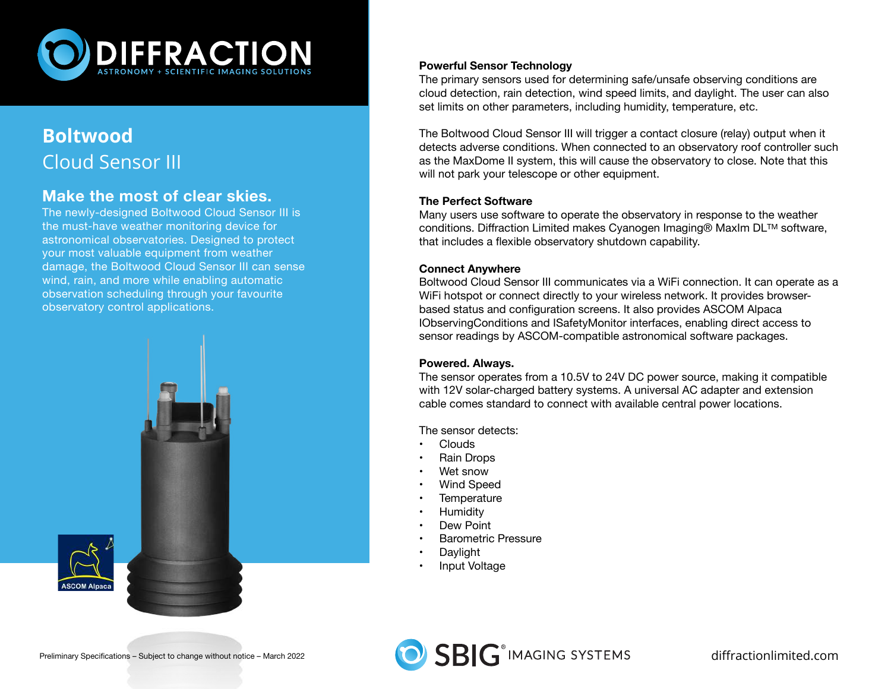

## **Boltwood** Cloud Sensor III

### **Make the most of clear skies.**

The newly-designed Boltwood Cloud Sensor III is the must-have weather monitoring device for astronomical observatories. Designed to protect your most valuable equipment from weather damage, the Boltwood Cloud Sensor III can sense wind, rain, and more while enabling automatic observation scheduling through your favourite observatory control applications.



#### **Powerful Sensor Technology**

The primary sensors used for determining safe/unsafe observing conditions are cloud detection, rain detection, wind speed limits, and daylight. The user can also set limits on other parameters, including humidity, temperature, etc.

The Boltwood Cloud Sensor III will trigger a contact closure (relay) output when it detects adverse conditions. When connected to an observatory roof controller such as the MaxDome II system, this will cause the observatory to close. Note that this will not park your telescope or other equipment.

#### **The Perfect Software**

Many users use software to operate the observatory in response to the weather conditions. Diffraction Limited makes Cyanogen Imaging® MaxIm DLTM software, that includes a flexible observatory shutdown capability.

#### **Connect Anywhere**

Boltwood Cloud Sensor III communicates via a WiFi connection. It can operate as a WiFi hotspot or connect directly to your wireless network. It provides browserbased status and configuration screens. It also provides ASCOM Alpaca IObservingConditions and ISafetyMonitor interfaces, enabling direct access to sensor readings by ASCOM-compatible astronomical software packages.

#### **Powered. Always.**

The sensor operates from a 10.5V to 24V DC power source, making it compatible with 12V solar-charged battery systems. A universal AC adapter and extension cable comes standard to connect with available central power locations.

The sensor detects:

- Clouds
- Rain Drops
- Wet snow
- Wind Speed
- **Temperature**
- Humidity
- Dew Point
- Barometric Pressure
- **Daylight**
- Input Voltage

**ASCOM Alpar**